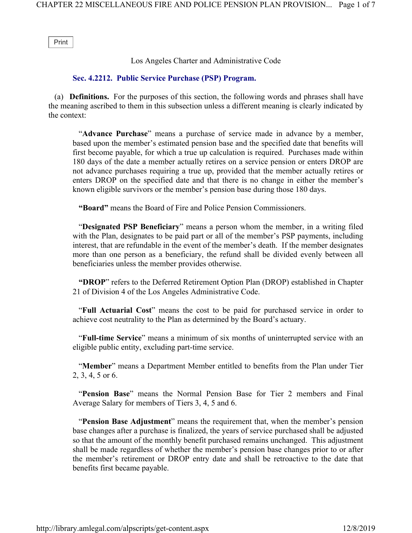Print

Los Angeles Charter and Administrative Code

## Sec. 4.2212. Public Service Purchase (PSP) Program.

 (a) Definitions. For the purposes of this section, the following words and phrases shall have the meaning ascribed to them in this subsection unless a different meaning is clearly indicated by the context:

"Advance Purchase" means a purchase of service made in advance by a member, based upon the member's estimated pension base and the specified date that benefits will first become payable, for which a true up calculation is required. Purchases made within 180 days of the date a member actually retires on a service pension or enters DROP are not advance purchases requiring a true up, provided that the member actually retires or enters DROP on the specified date and that there is no change in either the member's known eligible survivors or the member's pension base during those 180 days.

"Board" means the Board of Fire and Police Pension Commissioners.

 "Designated PSP Beneficiary" means a person whom the member, in a writing filed with the Plan, designates to be paid part or all of the member's PSP payments, including interest, that are refundable in the event of the member's death. If the member designates more than one person as a beneficiary, the refund shall be divided evenly between all beneficiaries unless the member provides otherwise.

"DROP" refers to the Deferred Retirement Option Plan (DROP) established in Chapter 21 of Division 4 of the Los Angeles Administrative Code.

 "Full Actuarial Cost" means the cost to be paid for purchased service in order to achieve cost neutrality to the Plan as determined by the Board's actuary.

 "Full-time Service" means a minimum of six months of uninterrupted service with an eligible public entity, excluding part-time service.

 "Member" means a Department Member entitled to benefits from the Plan under Tier 2, 3, 4, 5 or 6.

 "Pension Base" means the Normal Pension Base for Tier 2 members and Final Average Salary for members of Tiers 3, 4, 5 and 6.

 "Pension Base Adjustment" means the requirement that, when the member's pension base changes after a purchase is finalized, the years of service purchased shall be adjusted so that the amount of the monthly benefit purchased remains unchanged. This adjustment shall be made regardless of whether the member's pension base changes prior to or after the member's retirement or DROP entry date and shall be retroactive to the date that benefits first became payable.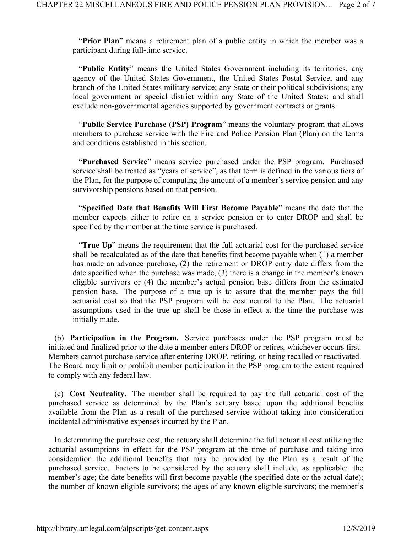"Prior Plan" means a retirement plan of a public entity in which the member was a participant during full-time service.

"Public Entity" means the United States Government including its territories, any agency of the United States Government, the United States Postal Service, and any branch of the United States military service; any State or their political subdivisions; any local government or special district within any State of the United States; and shall exclude non-governmental agencies supported by government contracts or grants.

 "Public Service Purchase (PSP) Program" means the voluntary program that allows members to purchase service with the Fire and Police Pension Plan (Plan) on the terms and conditions established in this section.

 "Purchased Service" means service purchased under the PSP program. Purchased service shall be treated as "years of service", as that term is defined in the various tiers of the Plan, for the purpose of computing the amount of a member's service pension and any survivorship pensions based on that pension.

 "Specified Date that Benefits Will First Become Payable" means the date that the member expects either to retire on a service pension or to enter DROP and shall be specified by the member at the time service is purchased.

 "True Up" means the requirement that the full actuarial cost for the purchased service shall be recalculated as of the date that benefits first become payable when (1) a member has made an advance purchase, (2) the retirement or DROP entry date differs from the date specified when the purchase was made, (3) there is a change in the member's known eligible survivors or (4) the member's actual pension base differs from the estimated pension base. The purpose of a true up is to assure that the member pays the full actuarial cost so that the PSP program will be cost neutral to the Plan. The actuarial assumptions used in the true up shall be those in effect at the time the purchase was initially made.

 (b) Participation in the Program. Service purchases under the PSP program must be initiated and finalized prior to the date a member enters DROP or retires, whichever occurs first. Members cannot purchase service after entering DROP, retiring, or being recalled or reactivated. The Board may limit or prohibit member participation in the PSP program to the extent required to comply with any federal law.

 (c) Cost Neutrality. The member shall be required to pay the full actuarial cost of the purchased service as determined by the Plan's actuary based upon the additional benefits available from the Plan as a result of the purchased service without taking into consideration incidental administrative expenses incurred by the Plan.

 In determining the purchase cost, the actuary shall determine the full actuarial cost utilizing the actuarial assumptions in effect for the PSP program at the time of purchase and taking into consideration the additional benefits that may be provided by the Plan as a result of the purchased service. Factors to be considered by the actuary shall include, as applicable: the member's age; the date benefits will first become payable (the specified date or the actual date); the number of known eligible survivors; the ages of any known eligible survivors; the member's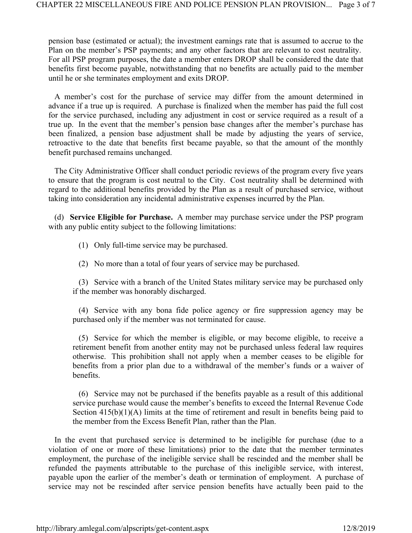pension base (estimated or actual); the investment earnings rate that is assumed to accrue to the Plan on the member's PSP payments; and any other factors that are relevant to cost neutrality. For all PSP program purposes, the date a member enters DROP shall be considered the date that benefits first become payable, notwithstanding that no benefits are actually paid to the member until he or she terminates employment and exits DROP.

 A member's cost for the purchase of service may differ from the amount determined in advance if a true up is required. A purchase is finalized when the member has paid the full cost for the service purchased, including any adjustment in cost or service required as a result of a true up. In the event that the member's pension base changes after the member's purchase has been finalized, a pension base adjustment shall be made by adjusting the years of service, retroactive to the date that benefits first became payable, so that the amount of the monthly benefit purchased remains unchanged.

 The City Administrative Officer shall conduct periodic reviews of the program every five years to ensure that the program is cost neutral to the City. Cost neutrality shall be determined with regard to the additional benefits provided by the Plan as a result of purchased service, without taking into consideration any incidental administrative expenses incurred by the Plan.

 (d) Service Eligible for Purchase. A member may purchase service under the PSP program with any public entity subject to the following limitations:

- (1) Only full-time service may be purchased.
- (2) No more than a total of four years of service may be purchased.

 (3) Service with a branch of the United States military service may be purchased only if the member was honorably discharged.

 (4) Service with any bona fide police agency or fire suppression agency may be purchased only if the member was not terminated for cause.

 (5) Service for which the member is eligible, or may become eligible, to receive a retirement benefit from another entity may not be purchased unless federal law requires otherwise. This prohibition shall not apply when a member ceases to be eligible for benefits from a prior plan due to a withdrawal of the member's funds or a waiver of benefits.

 (6) Service may not be purchased if the benefits payable as a result of this additional service purchase would cause the member's benefits to exceed the Internal Revenue Code Section  $415(b)(1)(A)$  limits at the time of retirement and result in benefits being paid to the member from the Excess Benefit Plan, rather than the Plan.

 In the event that purchased service is determined to be ineligible for purchase (due to a violation of one or more of these limitations) prior to the date that the member terminates employment, the purchase of the ineligible service shall be rescinded and the member shall be refunded the payments attributable to the purchase of this ineligible service, with interest, payable upon the earlier of the member's death or termination of employment. A purchase of service may not be rescinded after service pension benefits have actually been paid to the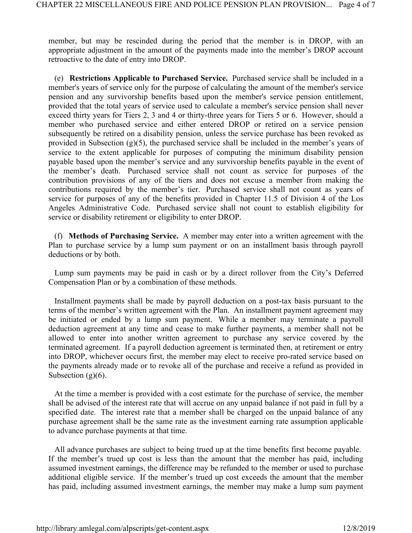member, but may be rescinded during the period that the member is in DROP, with an appropriate adjustment in the amount of the payments made into the member's DROP account retroactive to the date of entry into DROP.

 (e) Restrictions Applicable to Purchased Service. Purchased service shall be included in a member's years of service only for the purpose of calculating the amount of the member's service pension and any survivorship benefits based upon the member's service pension entitlement, provided that the total years of service used to calculate a member's service pension shall never exceed thirty years for Tiers 2, 3 and 4 or thirty-three years for Tiers 5 or 6. However, should a member who purchased service and either entered DROP or retired on a service pension subsequently be retired on a disability pension, unless the service purchase has been revoked as provided in Subsection  $(g)(5)$ , the purchased service shall be included in the member's years of service to the extent applicable for purposes of computing the minimum disability pension payable based upon the member's service and any survivorship benefits payable in the event of the member's death. Purchased service shall not count as service for purposes of the contribution provisions of any of the tiers and does not excuse a member from making the contributions required by the member's tier. Purchased service shall not count as years of service for purposes of any of the benefits provided in Chapter 11.5 of Division 4 of the Los Angeles Administrative Code. Purchased service shall not count to establish eligibility for service or disability retirement or eligibility to enter DROP.

 (f) Methods of Purchasing Service. A member may enter into a written agreement with the Plan to purchase service by a lump sum payment or on an installment basis through payroll deductions or by both.

 Lump sum payments may be paid in cash or by a direct rollover from the City's Deferred Compensation Plan or by a combination of these methods.

 Installment payments shall be made by payroll deduction on a post-tax basis pursuant to the terms of the member's written agreement with the Plan. An installment payment agreement may be initiated or ended by a lump sum payment. While a member may terminate a payroll deduction agreement at any time and cease to make further payments, a member shall not be allowed to enter into another written agreement to purchase any service covered by the terminated agreement. If a payroll deduction agreement is terminated then, at retirement or entry into DROP, whichever occurs first, the member may elect to receive pro-rated service based on the payments already made or to revoke all of the purchase and receive a refund as provided in Subsection  $(g)(6)$ .

 At the time a member is provided with a cost estimate for the purchase of service, the member shall be advised of the interest rate that will accrue on any unpaid balance if not paid in full by a specified date. The interest rate that a member shall be charged on the unpaid balance of any purchase agreement shall be the same rate as the investment earning rate assumption applicable to advance purchase payments at that time.

 All advance purchases are subject to being trued up at the time benefits first become payable. If the member's trued up cost is less than the amount that the member has paid, including assumed investment earnings, the difference may be refunded to the member or used to purchase additional eligible service. If the member's trued up cost exceeds the amount that the member has paid, including assumed investment earnings, the member may make a lump sum payment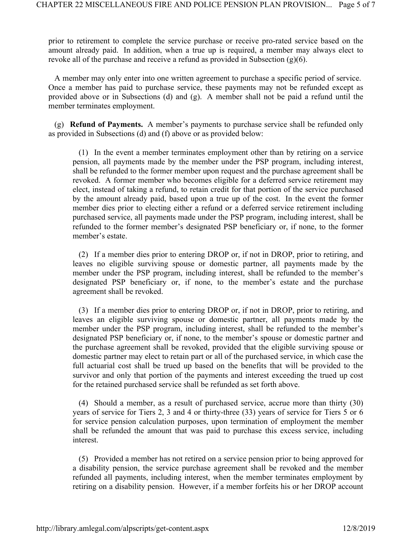prior to retirement to complete the service purchase or receive pro-rated service based on the amount already paid. In addition, when a true up is required, a member may always elect to revoke all of the purchase and receive a refund as provided in Subsection  $(g)(6)$ .

 A member may only enter into one written agreement to purchase a specific period of service. Once a member has paid to purchase service, these payments may not be refunded except as provided above or in Subsections (d) and (g). A member shall not be paid a refund until the member terminates employment.

 (g) Refund of Payments. A member's payments to purchase service shall be refunded only as provided in Subsections (d) and (f) above or as provided below:

 (1) In the event a member terminates employment other than by retiring on a service pension, all payments made by the member under the PSP program, including interest, shall be refunded to the former member upon request and the purchase agreement shall be revoked. A former member who becomes eligible for a deferred service retirement may elect, instead of taking a refund, to retain credit for that portion of the service purchased by the amount already paid, based upon a true up of the cost. In the event the former member dies prior to electing either a refund or a deferred service retirement including purchased service, all payments made under the PSP program, including interest, shall be refunded to the former member's designated PSP beneficiary or, if none, to the former member's estate.

 (2) If a member dies prior to entering DROP or, if not in DROP, prior to retiring, and leaves no eligible surviving spouse or domestic partner, all payments made by the member under the PSP program, including interest, shall be refunded to the member's designated PSP beneficiary or, if none, to the member's estate and the purchase agreement shall be revoked.

 (3) If a member dies prior to entering DROP or, if not in DROP, prior to retiring, and leaves an eligible surviving spouse or domestic partner, all payments made by the member under the PSP program, including interest, shall be refunded to the member's designated PSP beneficiary or, if none, to the member's spouse or domestic partner and the purchase agreement shall be revoked, provided that the eligible surviving spouse or domestic partner may elect to retain part or all of the purchased service, in which case the full actuarial cost shall be trued up based on the benefits that will be provided to the survivor and only that portion of the payments and interest exceeding the trued up cost for the retained purchased service shall be refunded as set forth above.

 (4) Should a member, as a result of purchased service, accrue more than thirty (30) years of service for Tiers 2, 3 and 4 or thirty-three (33) years of service for Tiers 5 or 6 for service pension calculation purposes, upon termination of employment the member shall be refunded the amount that was paid to purchase this excess service, including interest.

 (5) Provided a member has not retired on a service pension prior to being approved for a disability pension, the service purchase agreement shall be revoked and the member refunded all payments, including interest, when the member terminates employment by retiring on a disability pension. However, if a member forfeits his or her DROP account